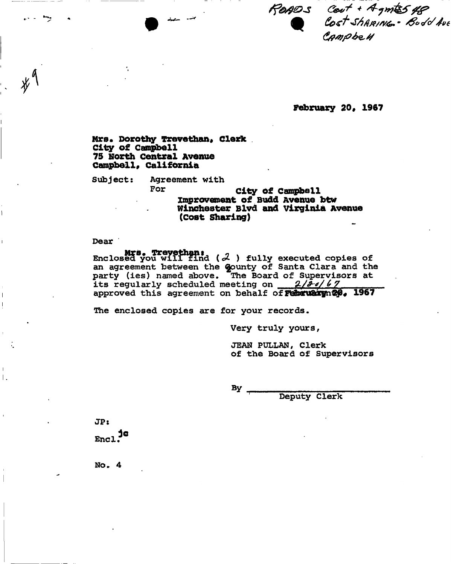READS Cent + Agmts 48<br>Cost Shammer Bodd Ave<br>Campbe 4

**February 209 1967** 

**Mrs. Dorothy Trevethan, Clerk City of Campbell 75 North Central Avenue Campbell, California** 

Subject: Agreement with

For **City of Campbell improvement of Budd Avenue btw Winchester Blvd and Virginia Avenue (cost Sharing)** 

Dear '

**Mrs. Trevethan:**<br>Enclosed you will find ( $3$  ) fully executed copies of an agreement between the gounty of Santa Clara and the party (ies) named above. The Board of Supervisors at its regularly scheduled meeting on 2/20/67 approved this agreement on behalf of Februaryn20. 1967

The enclosed copies are for your records.

Very truly yours,

JEAN PULLAN, Clerk of the Board of Supervisors

 $By -$ 

Deputy Clerk

JP:  $Enc1<sup>3</sup>$ 

 $\mathsf{L}$ 

**No. 4**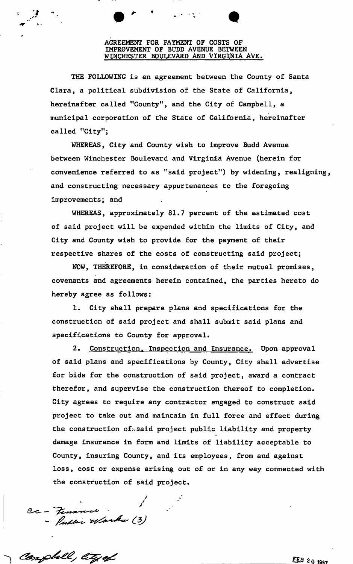# AGREEMENT FOR PAYMENT OF COSTS OF IMPROVEMENT OF BUDD AVENUE BETWEEN WINCHESTER BOULEVARD AND VIRGINIA AVE

THE FOLLOWING is an agreement between the County of Santa Clara, a political subdivision of the State of California, hereinafter called "County", and the City of Campbell, a called "City"; municipal corporation of the State of California, hereinafter

WHEREAS, City and County wish to improve Budd Avenue between Winchester Boulevard and Virginia Avenue (herein for convenience referred to as "said project") by widening, realigning, and constructing necessary appurtenances to the foregoing improvements; and

WHEREAS, approximately 81.7 percent of the estimated cost of said project will be expended within the limits of City, and City and County wish to provide for the payment of their respective shares of the costs of constructing said project;

NOW, THEREFORE, in consideration of their mutual promises, covenants and agreements herein contained, the parties hereto do hereby agree as follows:

1. City shall prepare plans and specifications for the construction of said project and shall submit said plans and specifications to County for approval.

2. Construction, Inspection and Insurance. Upon approval of said plans and specifications by County, City shall advertise for bids for the construction of said project, award a contract therefor, and supervise the construction thereof to completion. City agrees to require any contractor engaged to construct said project to take out and maintain in full force and effect during the construction of.said project public liability and property damage insurance in form and limits of liability acceptable to County, insuring County, and its employees, from and against loss, cost or expense arising out of or in any way connected with the construction of said project.

Cc - Finance<br>- Public Warks (3)

Compbell, lity of

 $\blacktriangledown$ 

1/

 $FEB201987$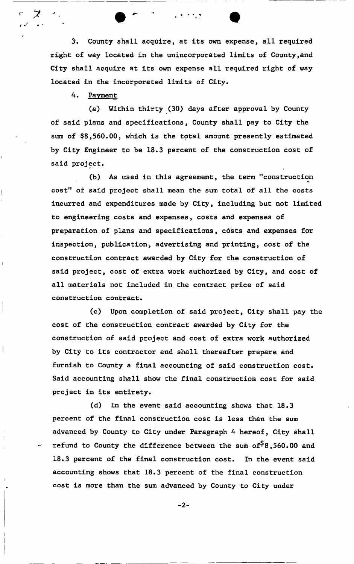3. County shall acquire, at its own expense, all required right of way located in the unincorporated limits of County,and City shall acquire at its own expense all required right of way located in the incorporated limits of City.

4. Payment

フ

(a) Within thirty (30) days after approval by County of said plans and specifications, County shall pay to City the sum of \$8,560.00, which is the total amount presently estimated by City Engineer to be 18.3 percent of the construction cost of said project.

(b) As used in this agreement, the term "construction cost" of said project shall mean the sum total of all the costs incurred and expenditures made by City, including but not limited to engineering costs and expenses, costs and expenses of preparation of plans and specifications, costs and expenses for inspection, publication, advertising and printing, cost of the construction contract awarded by City for the construction of said project, cost of extra work authorized by City, and cost of all materials not included in the contract price of said construction contract.

(c) Upon completion of said project, City shall pay the cost of the construction contract awarded by City for the construction of said project and cost of extra work authorized by City to its contractor and shall thereafter prepare and furnish to County a final accounting of said construction cost. Said accounting shall show the final construction cost for said project in its entirety.

(d) In the event said accounting shows that 18.3 percent of the final construction cost is less than the sum advanced by County to City under Paragraph 4 hereof, City shall refund to County the difference between the sum of  $8,560.00$  and 18.3 percent of the final construction cost. In the event said accounting shows that 18.3 percent of the final construction cost is more than the sum advanced by County to City under

 $-2-$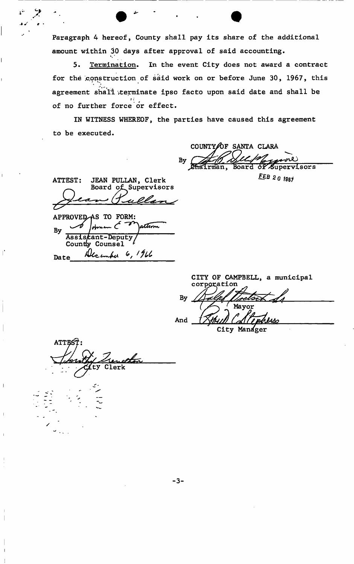Paragraph 4 hereof, County shall pay its share of the additional amount within 30 days after approval of said accounting.

5. Termination. In the event City does not award a contract for the construction of said work on or before June 30, 1967, this agreement shall terminate ipso facto upon said date and shall be of no further force or effect.

IN WITNESS WHEREOF, the parties have caused this agreement to be executed.

COUNTY $\bigtriangleup$ F SANTA CLARA By sore Board of Supervisors

**FEB 20 1967** 

ATTEST: JEAN PULLAN, Clerk Board of Supervisors

i.

APPROVED AS TO FORM: attim By Assistant-Deputy Countly Counsel Date Alcember 6, 1966

<u>Aenel<del>lon</del></u><br>Clerk

**ATTES** 

CITY OF CAMPBELL, a municipal corporation By Mayor

And

City Manager

 $-3-$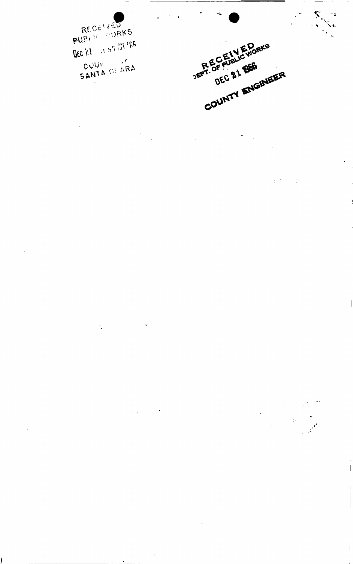**RECENTED** DEC ST OF POLICE JER EC ALL MAN

DEC & 1 1966 DEC &1 BEE COUNTY ENGINEER

 $\mathbb{R}^{n \times n}$ 

 $\frac{1}{2}$ 

 $\sim$ 

 $\mathbb{R}^d$ 

 $\mathcal{L}_{\mathcal{C}}$ 

 $\overline{\phantom{a}}$ 

 $\overline{\phantom{a}}$ 

 $\begin{array}{c} \begin{array}{c} \begin{array}{c} \end{array} \\ \begin{array}{c} \end{array} \end{array} \end{array}$ 

 $\sim$ 

 $\ddot{\cdot}$ 

 $\ddot{\phantom{0}}$ 

Ì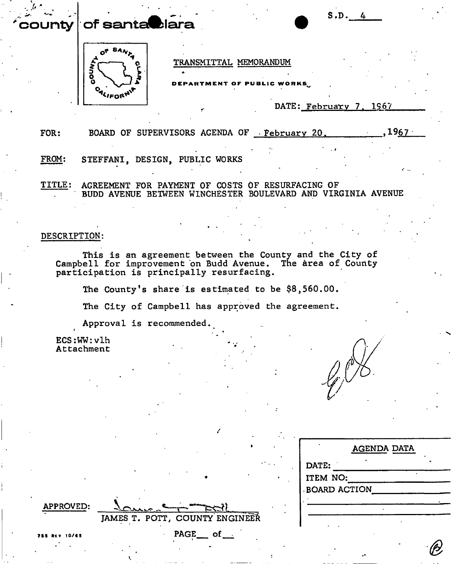#### **county of santa blara**



TRANSMITTAL MEMORANDUM

ARTMENT OF PUBLIC WORKS

DATE: February 7. 1967

S.D

FOR: BOARD OF SUPERVISORS AGENDA OF February 20.  $1967$  .

FROM: STEFFANI, DESIGN, PUBLIC WORKS

TITLE: AGREEMENT FOR PAYMENT OF COSTS OF RESURFACING OF BUDD AVENUE BETWEEN WINCHESTER BOULEVARD AND VIRGINIA AVENUE

## DESCRIPTION:

This is an agreement between the County and the City of Campbell for improvement on Budd Avenue. The area of County participation is principally resurfacing.

The County's share is estimated to be \$8,560.00.

The City of Campbell has approved the agreement.

JAMES T. POTT, COUNTY ENGINEER

 $PAGE$  of  $-$ 

Approval is recommended. *t* \*<sup>t</sup>

 $ECS:WW:v1h$ **Attachment** 

|                     | <b>AGENDA DATA</b> |
|---------------------|--------------------|
| DATE:               |                    |
| ITEM NO:            |                    |
| <b>BOARD ACTION</b> |                    |
|                     |                    |
|                     |                    |
|                     |                    |

?BS RtV 10/65

APPROVED: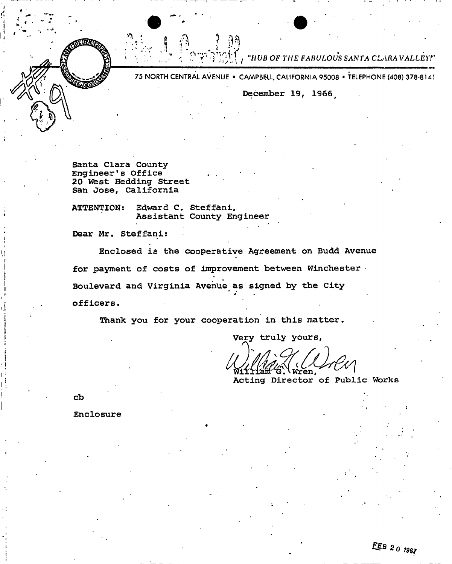•f *Jjfj . , . . - ; ^ \*:>:> ^ -TIUB OF THE FABULOUS SANTA CLARAVALLEYI* 

75 NORTH CENTRAL AVENUE · CAMPBELL, CALIFORNIA 95008 · TELEPHONE (408) 378-8141

**December 19, 1966** 

**Santa Clara County Engineer's Office 20 Vfest Hedding Street San Jose, California** 

**ATTENTION: Edward C. Steffani, Assistant County Engineer** 

**Dear Mr. Steffani:** 

**Enclosed is the cooperative Agreement on Budd Avenue for payment of costs of improvement between Winchester Boulevard and Virginia Avenue as signed by the City**  *officers*.

**Thank you for your cooperation in this matter.** 

Very truly yours,

iren.

**Acting Director of Public Works** 

**cb** 

Coco

**Enclosure**